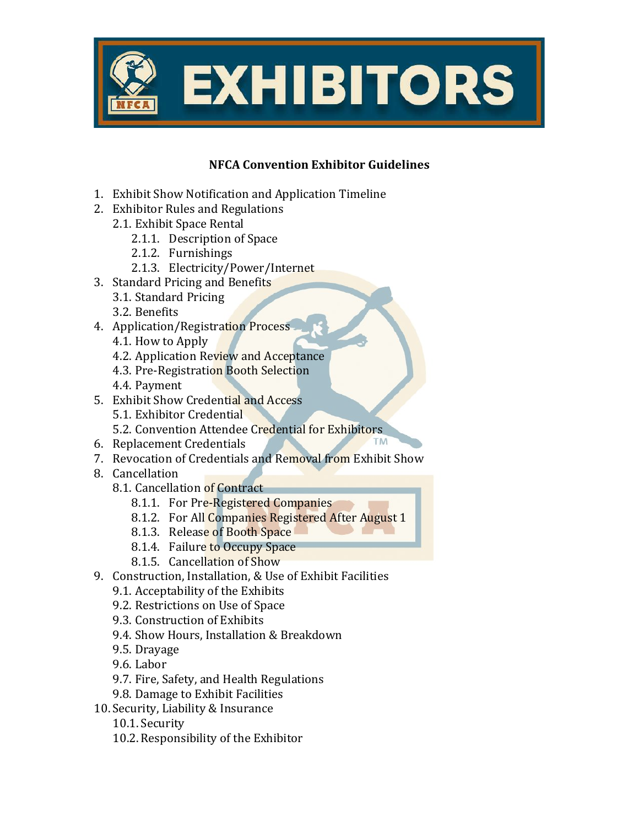

## **NFCA Convention Exhibitor Guidelines**

- 1. Exhibit Show Notification and Application Timeline
- 2. Exhibitor Rules and Regulations
	- 2.1. Exhibit Space Rental
		- 2.1.1. Description of Space
		- 2.1.2. Furnishings
		- 2.1.3. Electricity/Power/Internet
- 3. Standard Pricing and Benefits
	- 3.1. Standard Pricing
	- 3.2. Benefits
- 4. Application/Registration Process
	- 4.1. How to Apply
	- 4.2. Application Review and Acceptance
	- 4.3. Pre-Registration Booth Selection
	- 4.4. Payment
- 5. Exhibit Show Credential and Access
	- 5.1. Exhibitor Credential
	- 5.2. Convention Attendee Credential for Exhibitors
- 6. Replacement Credentials
- 7. Revocation of Credentials and Removal from Exhibit Show
- 8. Cancellation
	- 8.1. Cancellation of Contract
		- 8.1.1. For Pre-Registered Companies
		- 8.1.2. For All Companies Registered After August 1
		- 8.1.3. Release of Booth Space
		- 8.1.4. Failure to Occupy Space
		- 8.1.5. Cancellation of Show
- 9. Construction, Installation, & Use of Exhibit Facilities
	- 9.1. Acceptability of the Exhibits
	- 9.2. Restrictions on Use of Space
	- 9.3. Construction of Exhibits
	- 9.4. Show Hours, Installation & Breakdown
	- 9.5. Drayage
	- 9.6. Labor
	- 9.7. Fire, Safety, and Health Regulations
	- 9.8. Damage to Exhibit Facilities
- 10.Security, Liability & Insurance
	- 10.1.Security
	- 10.2. Responsibility of the Exhibitor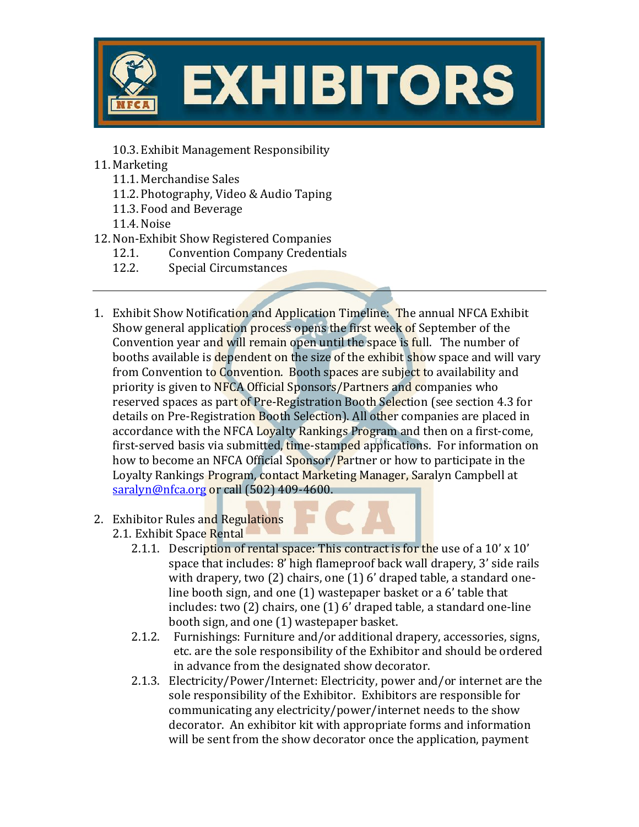

10.3. Exhibit Management Responsibility

- 11. Marketing
	- 11.1. Merchandise Sales
	- 11.2. Photography, Video & Audio Taping
	- 11.3. Food and Beverage

11.4. Noise

- 12.Non-Exhibit Show Registered Companies
	- 12.1. Convention Company Credentials
	- 12.2. Special Circumstances
- 1. Exhibit Show Notification and Application Timeline: The annual NFCA Exhibit Show general application process opens the first week of September of the Convention year and will remain open until the space is full. The number of booths available is dependent on the size of the exhibit show space and will vary from Convention to Convention. Booth spaces are subject to availability and priority is given to NFCA Official Sponsors/Partners and companies who reserved spaces as part of Pre-Registration Booth Selection (see section 4.3 for details on Pre-Registration Booth Selection). All other companies are placed in accordance with the NFCA Loyalty Rankings Program and then on a first-come, first-served basis via submitted, time-stamped applications. For information on how to become an NFCA Official Sponsor/Partner or how to participate in the Loyalty Rankings Program, contact Marketing Manager, Saralyn Campbell at [saralyn@nfca.org](mailto:saralyn@nfca.org) or call (502) 409-4600.
- 2. Exhibitor Rules and Regulations 2.1. Exhibit Space Rental
	- 2.1.1. Description of rental space: This contract is for the use of a 10' x 10' space that includes: 8' high flameproof back wall drapery, 3' side rails with drapery, two (2) chairs, one (1) 6' draped table, a standard oneline booth sign, and one (1) wastepaper basket or a 6' table that includes: two (2) chairs, one (1) 6' draped table, a standard one-line booth sign, and one (1) wastepaper basket.
	- 2.1.2. Furnishings: Furniture and/or additional drapery, accessories, signs, etc. are the sole responsibility of the Exhibitor and should be ordered in advance from the designated show decorator.
	- 2.1.3. Electricity/Power/Internet: Electricity, power and/or internet are the sole responsibility of the Exhibitor. Exhibitors are responsible for communicating any electricity/power/internet needs to the show decorator. An exhibitor kit with appropriate forms and information will be sent from the show decorator once the application, payment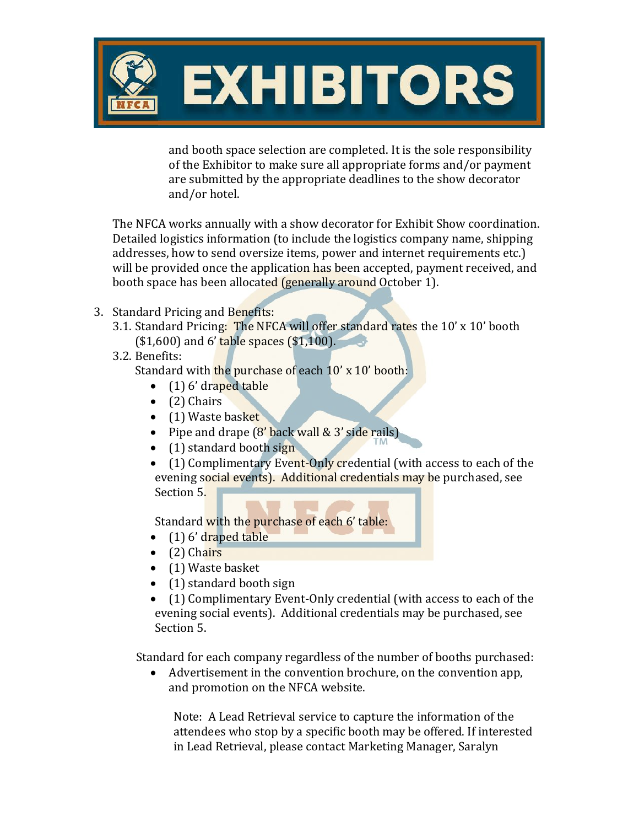

and booth space selection are completed. It is the sole responsibility of the Exhibitor to make sure all appropriate forms and/or payment are submitted by the appropriate deadlines to the show decorator and/or hotel.

The NFCA works annually with a show decorator for Exhibit Show coordination. Detailed logistics information (to include the logistics company name, shipping addresses, how to send oversize items, power and internet requirements etc.) will be provided once the application has been accepted, payment received, and booth space has been allocated (generally around October 1).

- 3. Standard Pricing and Benefits:
	- 3.1. Standard Pricing: The NFCA will offer standard rates the 10' x 10' booth  $($1,600)$  and 6' table spaces  $($1,100)$ .
	- 3.2. Benefits:

Standard with the purchase of each 10' x 10' booth:

- $(1)$  6' draped table
- (2) Chairs
- (1) Waste basket
- Pipe and drape (8' back wall & 3' side rails)
- (1) standard booth sign

• (1) Complimentary Event-Only credential (with access to each of the evening social events). Additional credentials may be purchased, see Section 5.

Standard with the purchase of each 6' table:

- $\bullet$  (1) 6' draped table
- $\bullet$  (2) Chairs
- (1) Waste basket
- (1) standard booth sign
- (1) Complimentary Event-Only credential (with access to each of the evening social events). Additional credentials may be purchased, see Section 5.

Standard for each company regardless of the number of booths purchased:

• Advertisement in the convention brochure, on the convention app, and promotion on the NFCA website.

Note: A Lead Retrieval service to capture the information of the attendees who stop by a specific booth may be offered. If interested in Lead Retrieval, please contact Marketing Manager, Saralyn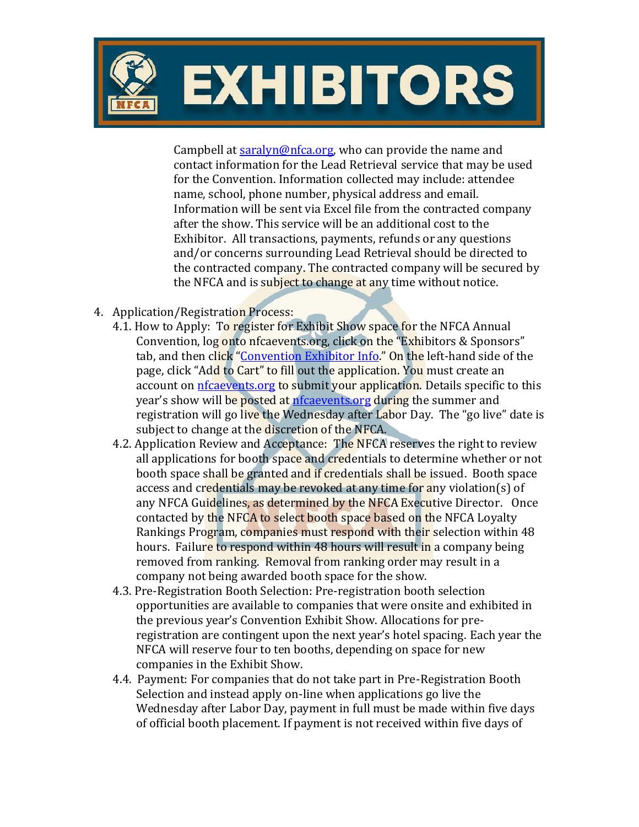

Campbell at [saralyn@nfca.org,](mailto:saralyn@nfca.org) who can provide the name and contact information for the Lead Retrieval service that may be used for the Convention. Information collected may include: attendee name, school, phone number, physical address and email. Information will be sent via Excel file from the contracted company after the show. This service will be an additional cost to the Exhibitor. All transactions, payments, refunds or any questions and/or concerns surrounding Lead Retrieval should be directed to the contracted company. The contracted company will be secured by the NFCA and is subject to change at any time without notice.

- 4. Application/Registration Process:
	- 4.1. How to Apply: To register for Exhibit Show space for the NFCA Annual Convention, log onto nfcaevents.org, click on the "Exhibitors & Sponsors" tab, and then click "Convention [Exhibitor Info](https://nfcaevents.org/exhibitors-sponsors/convention-exhibitors.php)." On the left-hand side of the page, click "Add to Cart" to fill out the application. You must create an account on [nfcaevents.org](http://nfcaevents.org/) to submit your application. Details specific to this year's show will be posted at [nfcaevents.org](file:///C:/Documents%20and%20Settings/sjekstrand/My%20Documents/Downloads/nfcaevents.org) during the summer and registration will go live the Wednesday after Labor Day. The "go live" date is subject to change at the discretion of the NFCA.
	- 4.2. Application Review and Acceptance: The NFCA reserves the right to review all applications for booth space and credentials to determine whether or not booth space shall be granted and if credentials shall be issued. Booth space access and credentials may be revoked at any time for any violation(s) of any NFCA Guidelines, as determined by the NFCA Executive Director. Once contacted by the NFCA to select booth space based on the NFCA Loyalty Rankings Program, companies must respond with their selection within 48 hours. Failure to respond within 48 hours will result in a company being removed from ranking. Removal from ranking order may result in a company not being awarded booth space for the show.
	- 4.3. Pre-Registration Booth Selection: Pre-registration booth selection opportunities are available to companies that were onsite and exhibited in the previous year's Convention Exhibit Show. Allocations for preregistration are contingent upon the next year's hotel spacing. Each year the NFCA will reserve four to ten booths, depending on space for new companies in the Exhibit Show.
	- 4.4. Payment: For companies that do not take part in Pre-Registration Booth Selection and instead apply on-line when applications go live the Wednesday after Labor Day, payment in full must be made within five days of official booth placement. If payment is not received within five days of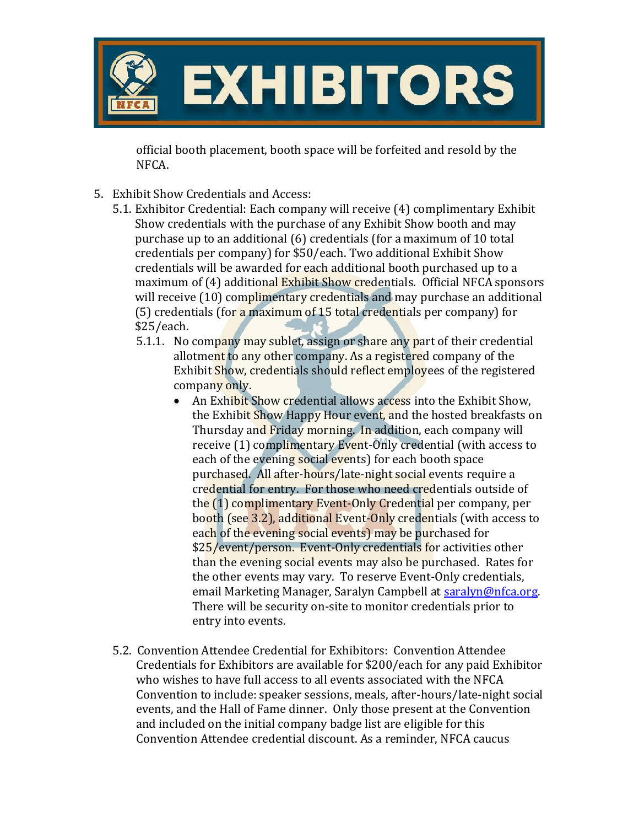

official booth placement, booth space will be forfeited and resold by the NFCA.

- 5. Exhibit Show Credentials and Access:
	- 5.1. Exhibitor Credential: Each company will receive (4) complimentary Exhibit Show credentials with the purchase of any Exhibit Show booth and may purchase up to an additional (6) credentials (for a maximum of 10 total credentials per company) for \$50/each. Two additional Exhibit Show credentials will be awarded for each additional booth purchased up to a maximum of (4) additional Exhibit Show credentials. Official NFCA sponsors will receive (10) complimentary credentials and may purchase an additional (5) credentials (for a maximum of 15 total credentials per company) for \$25/each.
		- 5.1.1. No company may sublet, assign or share any part of their credential allotment to any other company. As a registered company of the Exhibit Show, credentials should reflect employees of the registered company only.
			- An Exhibit Show credential allows access into the Exhibit Show, the Exhibit Show Happy Hour event, and the hosted breakfasts on Thursday and Friday morning. In addition, each company will receive (1) complimentary Event-Only credential (with access to each of the evening social events) for each booth space purchased. All after-hours/late-night social events require a credential for entry. For those who need credentials outside of the (1) complimentary Event-Only Credential per company, per booth (see 3.2), additional Event-Only credentials (with access to each of the evening social events) may be purchased for \$25/event/person. Event-Only credentials for activities other than the evening social events may also be purchased. Rates for the other events may vary. To reserve Event-Only credentials, email Marketing Manager, Saralyn Campbell at [saralyn@nfca.org.](mailto:saralyn@nfca.org) There will be security on-site to monitor credentials prior to entry into events.
	- 5.2. Convention Attendee Credential for Exhibitors: Convention Attendee Credentials for Exhibitors are available for \$200/each for any paid Exhibitor who wishes to have full access to all events associated with the NFCA Convention to include: speaker sessions, meals, after-hours/late-night social events, and the Hall of Fame dinner. Only those present at the Convention and included on the initial company badge list are eligible for this Convention Attendee credential discount. As a reminder, NFCA caucus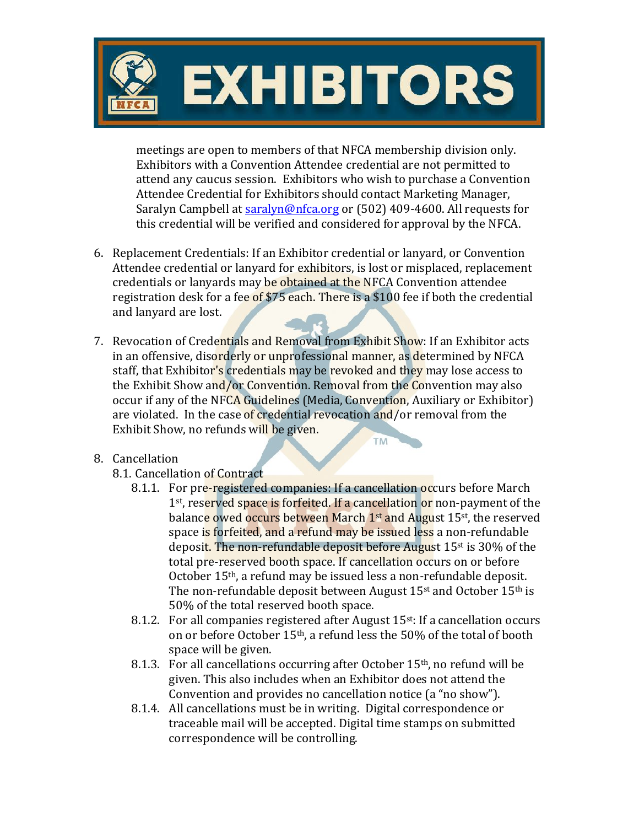

meetings are open to members of that NFCA membership division only. Exhibitors with a Convention Attendee credential are not permitted to attend any caucus session. Exhibitors who wish to purchase a Convention Attendee Credential for Exhibitors should contact Marketing Manager, Saralyn Campbell at [saralyn@nfca.org](mailto:saralyn@nfca.org) or (502) 409-4600. All requests for this credential will be verified and considered for approval by the NFCA.

- 6. Replacement Credentials: If an Exhibitor credential or lanyard, or Convention Attendee credential or lanyard for exhibitors, is lost or misplaced, replacement credentials or lanyards may be obtained at the NFCA Convention attendee registration desk for a fee of \$75 each. There is a \$100 fee if both the credential and lanyard are lost.
- 7. Revocation of Credentials and Removal from Exhibit Show: If an Exhibitor acts in an offensive, disorderly or unprofessional manner, as determined by NFCA staff, that Exhibitor's credentials may be revoked and they may lose access to the Exhibit Show and/or Convention. Removal from the Convention may also occur if any of the NFCA Guidelines (Media, Convention, Auxiliary or Exhibitor) are violated. In the case of credential revocation and/or removal from the Exhibit Show, no refunds will be given.
- 8. Cancellation
	- 8.1. Cancellation of Contract
		- 8.1.1. For pre-registered companies: If a cancellation occurs before March 1<sup>st</sup>, reserved space is forfeited. If a cancellation or non-payment of the balanc<mark>e owed occurs</mark> between March 1st and August 15st, the reserved space is forfeited, and a refund may be issued less a non-refundable deposit. The non-refundable deposit before August 15st is 30% of the total pre-reserved booth space. If cancellation occurs on or before October 15th, a refund may be issued less a non-refundable deposit. The non-refundable deposit between August 15<sup>st</sup> and October 15<sup>th</sup> is 50% of the total reserved booth space.

**TM** 

- 8.1.2. For all companies registered after August 15<sup>st</sup>: If a cancellation occurs on or before October 15th, a refund less the 50% of the total of booth space will be given.
- 8.1.3. For all cancellations occurring after October  $15<sup>th</sup>$ , no refund will be given. This also includes when an Exhibitor does not attend the Convention and provides no cancellation notice (a "no show").
- 8.1.4. All cancellations must be in writing. Digital correspondence or traceable mail will be accepted. Digital time stamps on submitted correspondence will be controlling.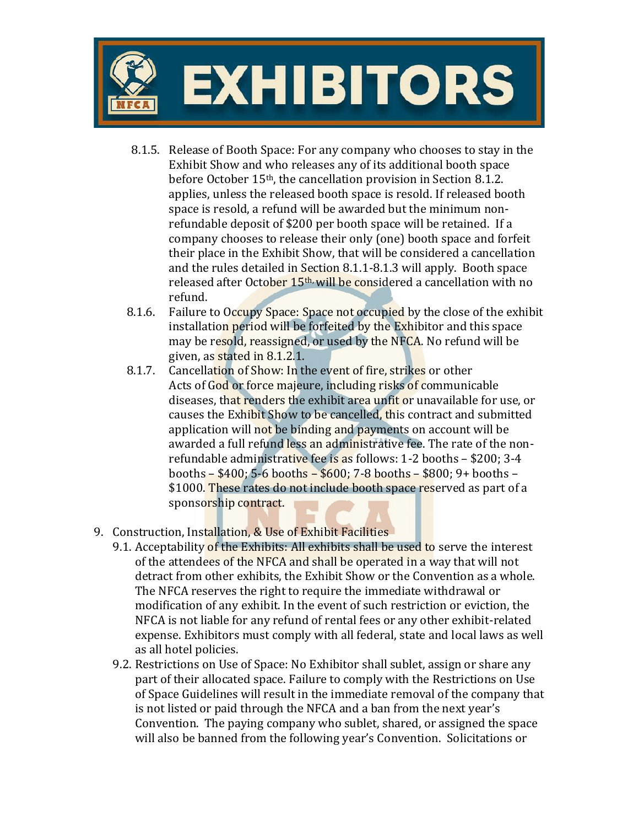

- 8.1.5. Release of Booth Space: For any company who chooses to stay in the Exhibit Show and who releases any of its additional booth space before October 15th, the cancellation provision in Section 8.1.2. applies, unless the released booth space is resold. If released booth space is resold, a refund will be awarded but the minimum nonrefundable deposit of \$200 per booth space will be retained. If a company chooses to release their only (one) booth space and forfeit their place in the Exhibit Show, that will be considered a cancellation and the rules detailed in Section 8.1.1-8.1.3 will apply. Booth space released after October 15<sup>th,</sup> will be considered a cancellation with no refund.
- 8.1.6. Failure to Occupy Space: Space not occupied by the close of the exhibit installation period will be forfeited by the Exhibitor and this space may be resold, reassigned, or used by the NFCA. No refund will be given, as stated in 8.1.2.1.
- 8.1.7. Cancellation of Show: In the event of fire, strikes or other Acts of God or force majeure, including risks of communicable diseases, that renders the exhibit area unfit or unavailable for use, or causes the Exhibit Show to be cancelled, this contract and submitted application will not be binding and payments on account will be awarded a full refund less an administrative fee. The rate of the nonrefundable administrative fee is as follows: 1-2 booths – \$200; 3-4 booths – \$400; 5-6 booths – \$600; 7-8 booths – \$800; 9+ booths – \$1000. These rates do not include booth space reserved as part of a sponsorship contract.
- 9. Construction, Installation, & Use of Exhibit Facilities
	- 9.1. Acceptability of the Exhibits: All exhibits shall be used to serve the interest of the attendees of the NFCA and shall be operated in a way that will not detract from other exhibits, the Exhibit Show or the Convention as a whole. The NFCA reserves the right to require the immediate withdrawal or modification of any exhibit. In the event of such restriction or eviction, the NFCA is not liable for any refund of rental fees or any other exhibit-related expense. Exhibitors must comply with all federal, state and local laws as well as all hotel policies.
	- 9.2. Restrictions on Use of Space: No Exhibitor shall sublet, assign or share any part of their allocated space. Failure to comply with the Restrictions on Use of Space Guidelines will result in the immediate removal of the company that is not listed or paid through the NFCA and a ban from the next year's Convention. The paying company who sublet, shared, or assigned the space will also be banned from the following year's Convention. Solicitations or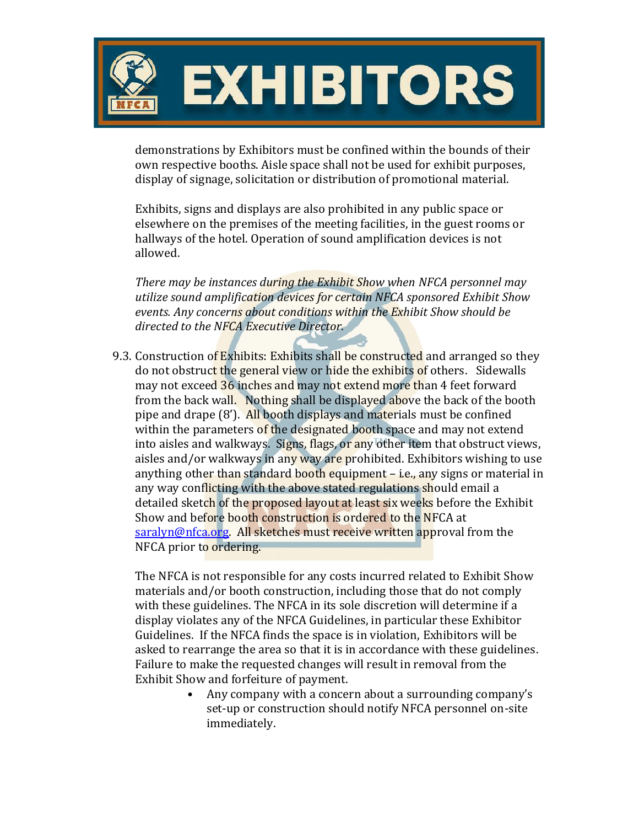

demonstrations by Exhibitors must be confined within the bounds of their own respective booths. Aisle space shall not be used for exhibit purposes, display of signage, solicitation or distribution of promotional material.

Exhibits, signs and displays are also prohibited in any public space or elsewhere on the premises of the meeting facilities, in the guest rooms or hallways of the hotel. Operation of sound amplification devices is not allowed.

*There may be instances during the Exhibit Show when NFCA personnel may utilize sound amplification devices for certain NFCA sponsored Exhibit Show events. Any concerns about conditions within the Exhibit Show should be directed to the NFCA Executive Director.*

9.3. Construction of Exhibits: Exhibits shall be constructed and arranged so they do not obstruct the general view or hide the exhibits of others. Sidewalls may not exceed 36 inches and may not extend more than 4 feet forward from the back wall. Nothing shall be displayed above the back of the booth pipe and drape (8'). All booth displays and materials must be confined within the parameters of the designated booth space and may not extend into aisles and walkways. Signs, flags, or any other item that obstruct views, aisles and/or walkways in any way are prohibited. Exhibitors wishing to use anything other than standard booth equipment – i.e., any signs or material in any way conflicting with the above stated regulations should email a detailed sketch of the proposed layout at least six weeks before the Exhibit Show and before booth construction is ordered to the NFCA at [saralyn@nfca.org.](mailto:saralyn@nfca.org) All sketches must receive written approval from the NFCA prior to ordering.

The NFCA is not responsible for any costs incurred related to Exhibit Show materials and/or booth construction, including those that do not comply with these guidelines. The NFCA in its sole discretion will determine if a display violates any of the NFCA Guidelines, in particular these Exhibitor Guidelines. If the NFCA finds the space is in violation, Exhibitors will be asked to rearrange the area so that it is in accordance with these guidelines. Failure to make the requested changes will result in removal from the Exhibit Show and forfeiture of payment.

• Any company with a concern about a surrounding company's set-up or construction should notify NFCA personnel on-site immediately.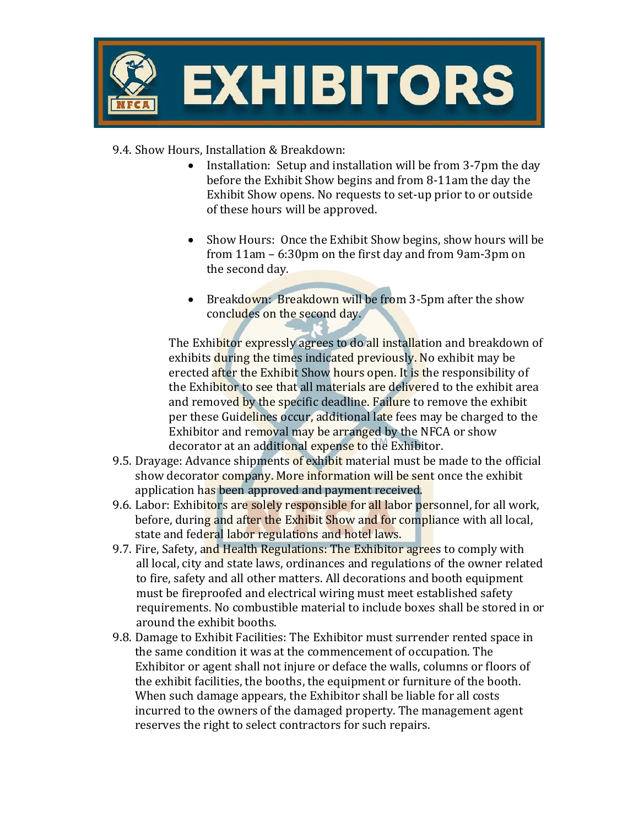

9.4. Show Hours, Installation & Breakdown:

- Installation: Setup and installation will be from 3-7pm the day before the Exhibit Show begins and from 8-11am the day the Exhibit Show opens. No requests to set-up prior to or outside of these hours will be approved.
- Show Hours: Once the Exhibit Show begins, show hours will be from 11am – 6:30pm on the first day and from 9am-3pm on the second day.
- Breakdown: Breakdown will be from 3-5pm after the show concludes on the second day.

The Exhibitor expressly agrees to do all installation and breakdown of exhibits during the times indicated previously. No exhibit may be erected after the Exhibit Show hours open. It is the responsibility of the Exhibitor to see that all materials are delivered to the exhibit area and removed by the specific deadline. Failure to remove the exhibit per these Guidelines occur, additional late fees may be charged to the Exhibitor and removal may be arranged by the NFCA or show decorator at an additional expense to the Exhibitor.

- 9.5. Drayage: Advance shipments of exhibit material must be made to the official show decorator company. More information will be sent once the exhibit application has been approved and payment received.
- 9.6. Labor: Exhibitors are solely responsible for all labor personnel, for all work, before, during and after the Exhibit Show and for compliance with all local, state and federal labor regulations and hotel laws.
- 9.7. Fire, Safety, and Health Regulations: The Exhibitor agrees to comply with all local, city and state laws, ordinances and regulations of the owner related to fire, safety and all other matters. All decorations and booth equipment must be fireproofed and electrical wiring must meet established safety requirements. No combustible material to include boxes shall be stored in or around the exhibit booths.
- 9.8. Damage to Exhibit Facilities: The Exhibitor must surrender rented space in the same condition it was at the commencement of occupation. The Exhibitor or agent shall not injure or deface the walls, columns or floors of the exhibit facilities, the booths, the equipment or furniture of the booth. When such damage appears, the Exhibitor shall be liable for all costs incurred to the owners of the damaged property. The management agent reserves the right to select contractors for such repairs.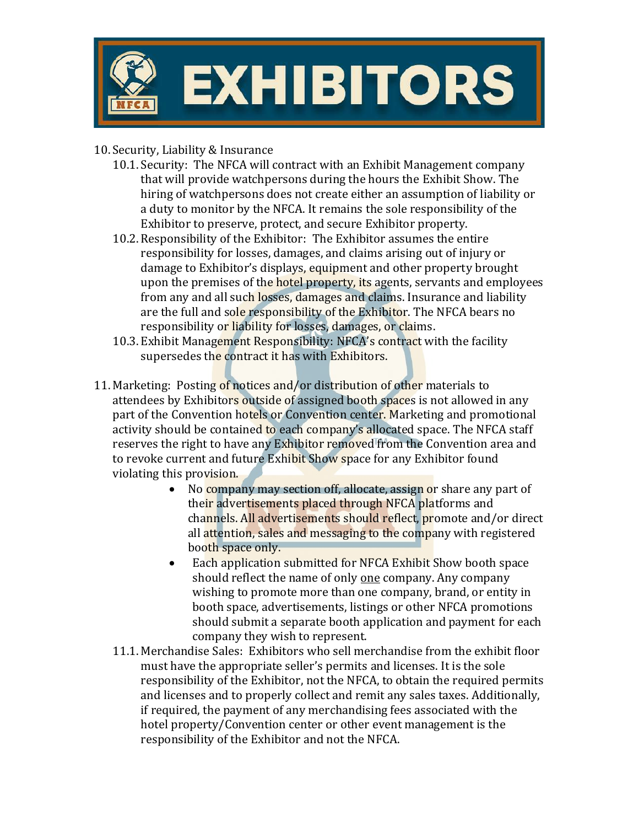

- 10.Security, Liability & Insurance
	- 10.1.Security: The NFCA will contract with an Exhibit Management company that will provide watchpersons during the hours the Exhibit Show. The hiring of watchpersons does not create either an assumption of liability or a duty to monitor by the NFCA. It remains the sole responsibility of the Exhibitor to preserve, protect, and secure Exhibitor property.
	- 10.2. Responsibility of the Exhibitor: The Exhibitor assumes the entire responsibility for losses, damages, and claims arising out of injury or damage to Exhibitor's displays, equipment and other property brought upon the premises of the hotel property, its agents, servants and employees from any and all such losses, damages and claims. Insurance and liability are the full and sole responsibility of the Exhibitor. The NFCA bears no responsibility or liability for losses, damages, or claims.
	- 10.3. Exhibit Management Responsibility: NFCA's contract with the facility supersedes the contract it has with Exhibitors.
- 11. Marketing: Posting of notices and/or distribution of other materials to attendees by Exhibitors outside of assigned booth spaces is not allowed in any part of the Convention hotels or Convention center. Marketing and promotional activity should be contained to each company's allocated space. The NFCA staff reserves the right to have any Exhibitor removed from the Convention area and to revoke current and future Exhibit Show space for any Exhibitor found violating this provision.
	- No company may section off, allocate, assign or share any part of their advertisements placed through NFCA platforms and channels. All advertisements should reflect, promote and/or direct all attention, sales and messaging to the company with registered booth space only.
	- Each application submitted for NFCA Exhibit Show booth space should reflect the name of only one company. Any company wishing to promote more than one company, brand, or entity in booth space, advertisements, listings or other NFCA promotions should submit a separate booth application and payment for each company they wish to represent.
	- 11.1. Merchandise Sales: Exhibitors who sell merchandise from the exhibit floor must have the appropriate seller's permits and licenses. It is the sole responsibility of the Exhibitor, not the NFCA, to obtain the required permits and licenses and to properly collect and remit any sales taxes. Additionally, if required, the payment of any merchandising fees associated with the hotel property/Convention center or other event management is the responsibility of the Exhibitor and not the NFCA.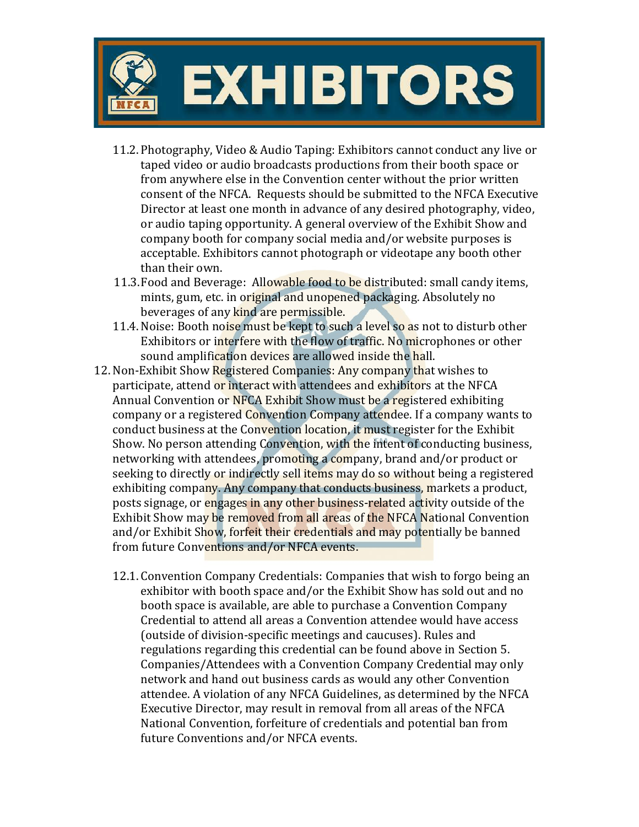

- 11.2. Photography, Video & Audio Taping: Exhibitors cannot conduct any live or taped video or audio broadcasts productions from their booth space or from anywhere else in the Convention center without the prior written consent of the NFCA. Requests should be submitted to the NFCA Executive Director at least one month in advance of any desired photography, video, or audio taping opportunity. A general overview of the Exhibit Show and company booth for company social media and/or website purposes is acceptable. Exhibitors cannot photograph or videotape any booth other than their own.
- 11.3. Food and Beverage: Allowable food to be distributed: small candy items, mints, gum, etc. in original and unopened packaging. Absolutely no beverages of any kind are permissible.
- 11.4. Noise: Booth noise must be kept to such a level so as not to disturb other Exhibitors or interfere with the flow of traffic. No microphones or other sound amplification devices are allowed inside the hall.
- 12.Non-Exhibit Show Registered Companies: Any company that wishes to participate, attend or interact with attendees and exhibitors at the NFCA Annual Convention or NFCA Exhibit Show must be a registered exhibiting company or a registered Convention Company attendee. If a company wants to conduct business at the Convention location, it must register for the Exhibit Show. No person attending Convention, with the intent of conducting business, networking with attendees, promoting a company, brand and/or product or seeking to directly or indirectly sell items may do so without being a registered exhibiting company. Any company that conducts business, markets a product, posts signage, or engages in any other business-related activity outside of the Exhibit Show may be removed from all areas of the NFCA National Convention and/or Exhibit Show, forfeit their credentials and may potentially be banned from future Conventions and/or NFCA events.
	- 12.1. Convention Company Credentials: Companies that wish to forgo being an exhibitor with booth space and/or the Exhibit Show has sold out and no booth space is available, are able to purchase a Convention Company Credential to attend all areas a Convention attendee would have access (outside of division-specific meetings and caucuses). Rules and regulations regarding this credential can be found above in Section 5. Companies/Attendees with a Convention Company Credential may only network and hand out business cards as would any other Convention attendee. A violation of any NFCA Guidelines, as determined by the NFCA Executive Director, may result in removal from all areas of the NFCA National Convention, forfeiture of credentials and potential ban from future Conventions and/or NFCA events.